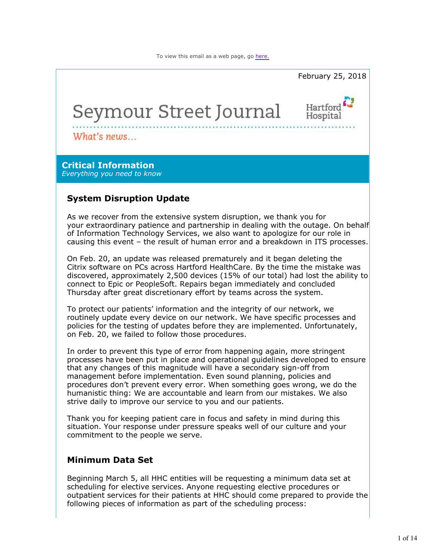

As we recover from the extensive system disruption, we thank you for your extraordinary patience and partnership in dealing with the outage. On behalf of Information Technology Services, we also want to apologize for our role in causing this event – the result of human error and a breakdown in ITS processes.

On Feb. 20, an update was released prematurely and it began deleting the Citrix software on PCs across Hartford HealthCare. By the time the mistake was discovered, approximately 2,500 devices (15% of our total) had lost the ability to connect to Epic or PeopleSoft. Repairs began immediately and concluded Thursday after great discretionary effort by teams across the system.

To protect our patients' information and the integrity of our network, we routinely update every device on our network. We have specific processes and policies for the testing of updates before they are implemented. Unfortunately, on Feb. 20, we failed to follow those procedures.

In order to prevent this type of error from happening again, more stringent processes have been put in place and operational guidelines developed to ensure that any changes of this magnitude will have a secondary sign-off from management before implementation. Even sound planning, policies and procedures don't prevent every error. When something goes wrong, we do the humanistic thing: We are accountable and learn from our mistakes. We also strive daily to improve our service to you and our patients.

Thank you for keeping patient care in focus and safety in mind during this situation. Your response under pressure speaks well of our culture and your commitment to the people we serve.

# **Minimum Data Set**

Beginning March 5, all HHC entities will be requesting a minimum data set at scheduling for elective services. Anyone requesting elective procedures or outpatient services for their patients at HHC should come prepared to provide the following pieces of information as part of the scheduling process: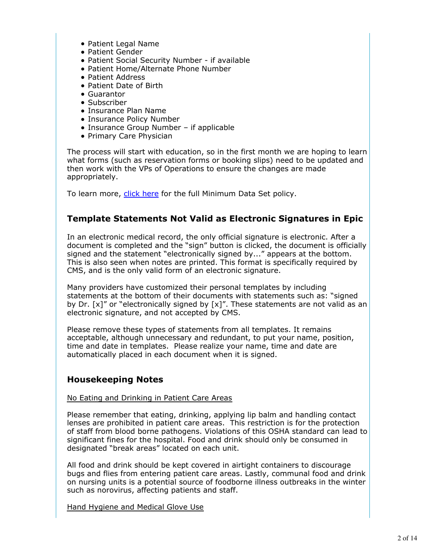- Patient Legal Name
- Patient Gender
- Patient Social Security Number if available
- Patient Home/Alternate Phone Number
- Patient Address
- Patient Date of Birth
- Guarantor
- Subscriber
- Insurance Plan Name
- Insurance Policy Number
- Insurance Group Number if applicable
- Primary Care Physician

The process will start with education, so in the first month we are hoping to learn what forms (such as reservation forms or booking slips) need to be updated and then work with the VPs of Operations to ensure the changes are made appropriately.

To learn more, click here for the full Minimum Data Set policy.

# **Template Statements Not Valid as Electronic Signatures in Epic**

In an electronic medical record, the only official signature is electronic. After a document is completed and the "sign" button is clicked, the document is officially signed and the statement "electronically signed by..." appears at the bottom. This is also seen when notes are printed. This format is specifically required by CMS, and is the only valid form of an electronic signature.

Many providers have customized their personal templates by including statements at the bottom of their documents with statements such as: "signed by Dr.  $[x]$ " or "electronically signed by  $[x]$ ". These statements are not valid as an electronic signature, and not accepted by CMS.

Please remove these types of statements from all templates. It remains acceptable, although unnecessary and redundant, to put your name, position, time and date in templates. Please realize your name, time and date are automatically placed in each document when it is signed.

# **Housekeeping Notes**

## No Eating and Drinking in Patient Care Areas

Please remember that eating, drinking, applying lip balm and handling contact lenses are prohibited in patient care areas. This restriction is for the protection of staff from blood borne pathogens. Violations of this OSHA standard can lead to significant fines for the hospital. Food and drink should only be consumed in designated "break areas" located on each unit.

All food and drink should be kept covered in airtight containers to discourage bugs and flies from entering patient care areas. Lastly, communal food and drink on nursing units is a potential source of foodborne illness outbreaks in the winter such as norovirus, affecting patients and staff.

Hand Hygiene and Medical Glove Use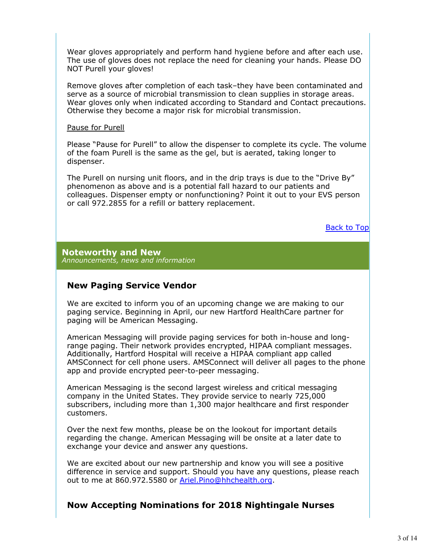Wear gloves appropriately and perform hand hygiene before and after each use. The use of gloves does not replace the need for cleaning your hands. Please DO NOT Purell your gloves!

Remove gloves after completion of each task–they have been contaminated and serve as a source of microbial transmission to clean supplies in storage areas. Wear gloves only when indicated according to Standard and Contact precautions. Otherwise they become a major risk for microbial transmission.

#### Pause for Purell

Please "Pause for Purell" to allow the dispenser to complete its cycle. The volume of the foam Purell is the same as the gel, but is aerated, taking longer to dispenser.

The Purell on nursing unit floors, and in the drip trays is due to the "Drive By" phenomenon as above and is a potential fall hazard to our patients and colleagues. Dispenser empty or nonfunctioning? Point it out to your EVS person or call 972.2855 for a refill or battery replacement.

Back to Top

**Noteworthy and New** *Announcements, news and information*

# **New Paging Service Vendor**

We are excited to inform you of an upcoming change we are making to our paging service. Beginning in April, our new Hartford HealthCare partner for paging will be American Messaging.

American Messaging will provide paging services for both in-house and longrange paging. Their network provides encrypted, HIPAA compliant messages. Additionally, Hartford Hospital will receive a HIPAA compliant app called AMSConnect for cell phone users. AMSConnect will deliver all pages to the phone app and provide encrypted peer-to-peer messaging.

American Messaging is the second largest wireless and critical messaging company in the United States. They provide service to nearly 725,000 subscribers, including more than 1,300 major healthcare and first responder customers.

Over the next few months, please be on the lookout for important details regarding the change. American Messaging will be onsite at a later date to exchange your device and answer any questions.

We are excited about our new partnership and know you will see a positive difference in service and support. Should you have any questions, please reach out to me at 860.972.5580 or Ariel.Pino@hhchealth.org.

# **Now Accepting Nominations for 2018 Nightingale Nurses**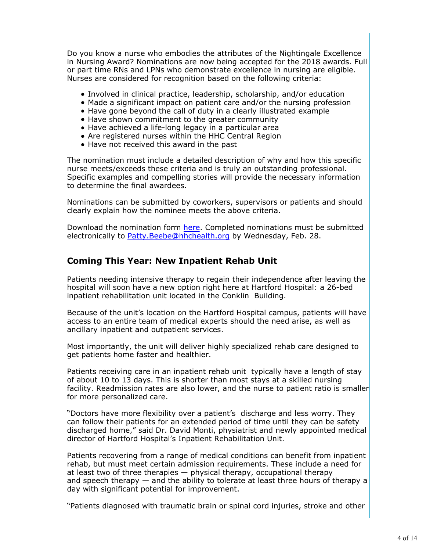Do you know a nurse who embodies the attributes of the Nightingale Excellence in Nursing Award? Nominations are now being accepted for the 2018 awards. Full or part time RNs and LPNs who demonstrate excellence in nursing are eligible. Nurses are considered for recognition based on the following criteria:

- Involved in clinical practice, leadership, scholarship, and/or education
- Made a significant impact on patient care and/or the nursing profession
- Have gone beyond the call of duty in a clearly illustrated example
- Have shown commitment to the greater community
- Have achieved a life-long legacy in a particular area
- Are registered nurses within the HHC Central Region
- Have not received this award in the past

The nomination must include a detailed description of why and how this specific nurse meets/exceeds these criteria and is truly an outstanding professional. Specific examples and compelling stories will provide the necessary information to determine the final awardees.

Nominations can be submitted by coworkers, supervisors or patients and should clearly explain how the nominee meets the above criteria.

Download the nomination form here. Completed nominations must be submitted electronically to Patty. Beebe@hhchealth.org by Wednesday, Feb. 28.

# **Coming This Year: New Inpatient Rehab Unit**

Patients needing intensive therapy to regain their independence after leaving the hospital will soon have a new option right here at Hartford Hospital: a 26-bed inpatient rehabilitation unit located in the Conklin Building.

Because of the unit's location on the Hartford Hospital campus, patients will have access to an entire team of medical experts should the need arise, as well as ancillary inpatient and outpatient services.

Most importantly, the unit will deliver highly specialized rehab care designed to get patients home faster and healthier.

Patients receiving care in an inpatient rehab unit typically have a length of stay of about 10 to 13 days. This is shorter than most stays at a skilled nursing facility. Readmission rates are also lower, and the nurse to patient ratio is smaller for more personalized care.

"Doctors have more flexibility over a patient's discharge and less worry. They can follow their patients for an extended period of time until they can be safety discharged home," said Dr. David Monti, physiatrist and newly appointed medical director of Hartford Hospital's Inpatient Rehabilitation Unit.

Patients recovering from a range of medical conditions can benefit from inpatient rehab, but must meet certain admission requirements. These include a need for at least two of three therapies — physical therapy, occupational therapy and speech therapy — and the ability to tolerate at least three hours of therapy a day with significant potential for improvement.

"Patients diagnosed with traumatic brain or spinal cord injuries, stroke and other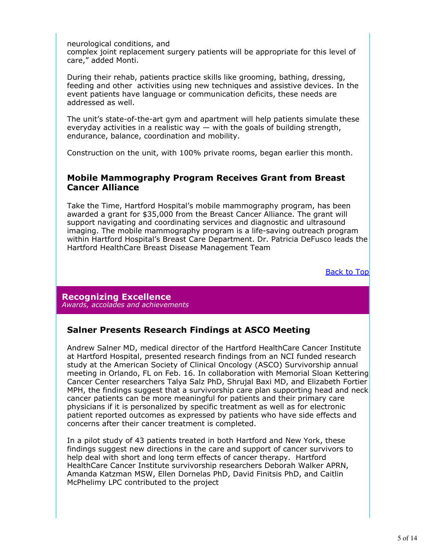neurological conditions, and

complex joint replacement surgery patients will be appropriate for this level of care," added Monti.

During their rehab, patients practice skills like grooming, bathing, dressing, feeding and other activities using new techniques and assistive devices. In the event patients have language or communication deficits, these needs are addressed as well.

The unit's state-of-the-art gym and apartment will help patients simulate these everyday activities in a realistic way — with the goals of building strength, endurance, balance, coordination and mobility.

Construction on the unit, with 100% private rooms, began earlier this month.

## **Mobile Mammography Program Receives Grant from Breast Cancer Alliance**

Take the Time, Hartford Hospital's mobile mammography program, has been awarded a grant for \$35,000 from the Breast Cancer Alliance. The grant will support navigating and coordinating services and diagnostic and ultrasound imaging. The mobile mammography program is a life-saving outreach program within Hartford Hospital's Breast Care Department. Dr. Patricia DeFusco leads the Hartford HealthCare Breast Disease Management Team

Back to Top

**Recognizing Excellence** *Awards, accolades and achievements*

# **Salner Presents Research Findings at ASCO Meeting**

Andrew Salner MD, medical director of the Hartford HealthCare Cancer Institute at Hartford Hospital, presented research findings from an NCI funded research study at the American Society of Clinical Oncology (ASCO) Survivorship annual meeting in Orlando, FL on Feb. 16. In collaboration with Memorial Sloan Kettering Cancer Center researchers Talya Salz PhD, Shrujal Baxi MD, and Elizabeth Fortier MPH, the findings suggest that a survivorship care plan supporting head and neck cancer patients can be more meaningful for patients and their primary care physicians if it is personalized by specific treatment as well as for electronic patient reported outcomes as expressed by patients who have side effects and concerns after their cancer treatment is completed.

In a pilot study of 43 patients treated in both Hartford and New York, these findings suggest new directions in the care and support of cancer survivors to help deal with short and long term effects of cancer therapy. Hartford HealthCare Cancer Institute survivorship researchers Deborah Walker APRN, Amanda Katzman MSW, Ellen Dornelas PhD, David Finitsis PhD, and Caitlin McPhelimy LPC contributed to the project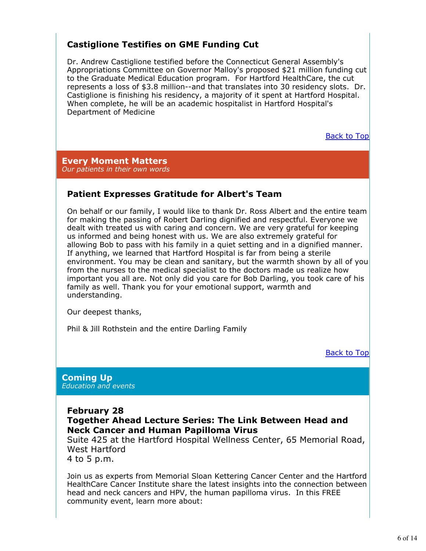# **Castiglione Testifies on GME Funding Cut**

Dr. Andrew Castiglione testified before the Connecticut General Assembly's Appropriations Committee on Governor Malloy's proposed \$21 million funding cut to the Graduate Medical Education program. For Hartford HealthCare, the cut represents a loss of \$3.8 million--and that translates into 30 residency slots. Dr. Castiglione is finishing his residency, a majority of it spent at Hartford Hospital. When complete, he will be an academic hospitalist in Hartford Hospital's Department of Medicine

Back to Top

**Every Moment Matters** *Our patients in their own words*

# **Patient Expresses Gratitude for Albert's Team**

On behalf or our family, I would like to thank Dr. Ross Albert and the entire team for making the passing of Robert Darling dignified and respectful. Everyone we dealt with treated us with caring and concern. We are very grateful for keeping us informed and being honest with us. We are also extremely grateful for allowing Bob to pass with his family in a quiet setting and in a dignified manner. If anything, we learned that Hartford Hospital is far from being a sterile environment. You may be clean and sanitary, but the warmth shown by all of you from the nurses to the medical specialist to the doctors made us realize how important you all are. Not only did you care for Bob Darling, you took care of his family as well. Thank you for your emotional support, warmth and understanding.

Our deepest thanks,

Phil & Jill Rothstein and the entire Darling Family

Back to Top

#### **Coming Up** *Education and events*

**February 28**

**Together Ahead Lecture Series: The Link Between Head and Neck Cancer and Human Papilloma Virus**

Suite 425 at the Hartford Hospital Wellness Center, 65 Memorial Road, West Hartford

4 to 5 p.m.

Join us as experts from Memorial Sloan Kettering Cancer Center and the Hartford HealthCare Cancer Institute share the latest insights into the connection between head and neck cancers and HPV, the human papilloma virus. In this FREE community event, learn more about: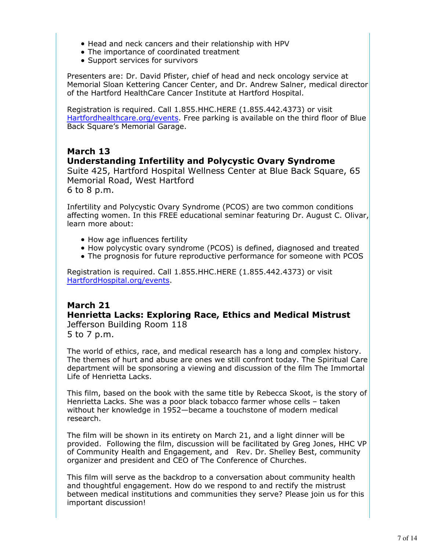- Head and neck cancers and their relationship with HPV
- The importance of coordinated treatment
- Support services for survivors

Presenters are: Dr. David Pfister, chief of head and neck oncology service at Memorial Sloan Kettering Cancer Center, and Dr. Andrew Salner, medical director of the Hartford HealthCare Cancer Institute at Hartford Hospital.

Registration is required. Call 1.855.HHC.HERE (1.855.442.4373) or visit Hartfordhealthcare.org/events. Free parking is available on the third floor of Blue Back Square's Memorial Garage.

# **March 13**

## **Understanding Infertility and Polycystic Ovary Syndrome**

Suite 425, Hartford Hospital Wellness Center at Blue Back Square, 65 Memorial Road, West Hartford

6 to 8 p.m.

Infertility and Polycystic Ovary Syndrome (PCOS) are two common conditions affecting women. In this FREE educational seminar featuring Dr. August C. Olivar, learn more about:

- How age influences fertility
- How polycystic ovary syndrome (PCOS) is defined, diagnosed and treated
- The prognosis for future reproductive performance for someone with PCOS

Registration is required. Call 1.855.HHC.HERE (1.855.442.4373) or visit HartfordHospital.org/events.

# **March 21 Henrietta Lacks: Exploring Race, Ethics and Medical Mistrust** Jefferson Building Room 118 5 to 7 p.m.

The world of ethics, race, and medical research has a long and complex history. The themes of hurt and abuse are ones we still confront today. The Spiritual Care department will be sponsoring a viewing and discussion of the film The Immortal Life of Henrietta Lacks.

This film, based on the book with the same title by Rebecca Skoot, is the story of Henrietta Lacks. She was a poor black tobacco farmer whose cells – taken without her knowledge in 1952—became a touchstone of modern medical research.

The film will be shown in its entirety on March 21, and a light dinner will be provided. Following the film, discussion will be facilitated by Greg Jones, HHC VP of Community Health and Engagement, and Rev. Dr. Shelley Best, community organizer and president and CEO of The Conference of Churches.

This film will serve as the backdrop to a conversation about community health and thoughtful engagement. How do we respond to and rectify the mistrust between medical institutions and communities they serve? Please join us for this important discussion!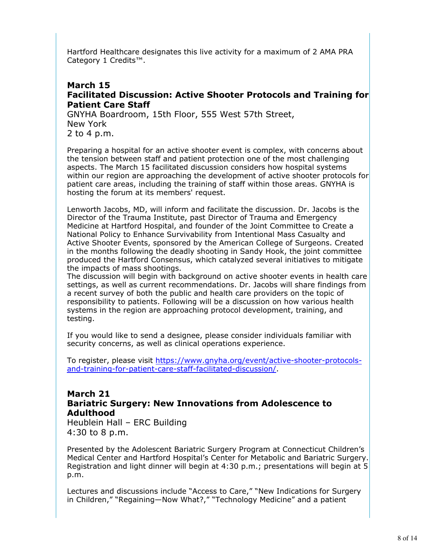Hartford Healthcare designates this live activity for a maximum of 2 AMA PRA Category 1 Credits™.

## **March 15 Facilitated Discussion: Active Shooter Protocols and Training for Patient Care Staff**

GNYHA Boardroom, 15th Floor, 555 West 57th Street, New York 2 to 4 p.m.

Preparing a hospital for an active shooter event is complex, with concerns about the tension between staff and patient protection one of the most challenging aspects. The March 15 facilitated discussion considers how hospital systems within our region are approaching the development of active shooter protocols for patient care areas, including the training of staff within those areas. GNYHA is hosting the forum at its members' request.

Lenworth Jacobs, MD, will inform and facilitate the discussion. Dr. Jacobs is the Director of the Trauma Institute, past Director of Trauma and Emergency Medicine at Hartford Hospital, and founder of the Joint Committee to Create a National Policy to Enhance Survivability from Intentional Mass Casualty and Active Shooter Events, sponsored by the American College of Surgeons. Created in the months following the deadly shooting in Sandy Hook, the joint committee produced the Hartford Consensus, which catalyzed several initiatives to mitigate the impacts of mass shootings.

The discussion will begin with background on active shooter events in health care settings, as well as current recommendations. Dr. Jacobs will share findings from a recent survey of both the public and health care providers on the topic of responsibility to patients. Following will be a discussion on how various health systems in the region are approaching protocol development, training, and testing.

If you would like to send a designee, please consider individuals familiar with security concerns, as well as clinical operations experience.

To register, please visit https://www.gnyha.org/event/active-shooter-protocolsand-training-for-patient-care-staff-facilitated-discussion/.

# **March 21 Bariatric Surgery: New Innovations from Adolescence to Adulthood**

Heublein Hall – ERC Building 4:30 to 8 p.m.

Presented by the Adolescent Bariatric Surgery Program at Connecticut Children's Medical Center and Hartford Hospital's Center for Metabolic and Bariatric Surgery. Registration and light dinner will begin at 4:30 p.m.; presentations will begin at 5 p.m.

Lectures and discussions include "Access to Care," "New Indications for Surgery in Children," "Regaining—Now What?," "Technology Medicine" and a patient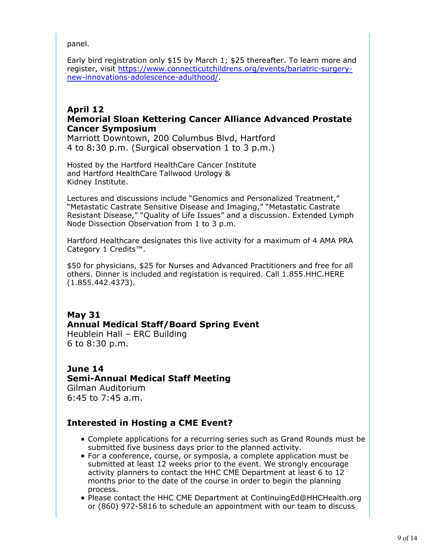panel.

Early bird registration only \$15 by March 1; \$25 thereafter. To learn more and register, visit https://www.connecticutchildrens.org/events/bariatric-surgerynew-innovations-adolescence-adulthood/.

## **April 12 Memorial Sloan Kettering Cancer Alliance Advanced Prostate Cancer Symposium**

Marriott Downtown, 200 Columbus Blvd, Hartford 4 to 8:30 p.m. (Surgical observation 1 to 3 p.m.)

Hosted by the Hartford HealthCare Cancer Institute and Hartford HealthCare Tallwood Urology & Kidney Institute.

Lectures and discussions include "Genomics and Personalized Treatment," "Metastatic Castrate Sensitive Disease and Imaging," "Metastatic Castrate Resistant Disease," "Quality of Life Issues" and a discussion. Extended Lymph Node Dissection Observation from 1 to 3 p.m.

Hartford Healthcare designates this live activity for a maximum of 4 AMA PRA Category 1 Credits™.

\$50 for physicians, \$25 for Nurses and Advanced Practitioners and free for all others. Dinner is included and registation is required. Call 1.855.HHC.HERE (1.855.442.4373).

# **May 31 Annual Medical Staff/Board Spring Event**

Heublein Hall – ERC Building 6 to 8:30 p.m.

# **June 14 Semi-Annual Medical Staff Meeting**

Gilman Auditorium 6:45 to 7:45 a.m.

# **Interested in Hosting a CME Event?**

- Complete applications for a recurring series such as Grand Rounds must be submitted five business days prior to the planned activity.
- For a conference, course, or symposia, a complete application must be submitted at least 12 weeks prior to the event. We strongly encourage activity planners to contact the HHC CME Department at least 6 to 12 months prior to the date of the course in order to begin the planning process.
- Please contact the HHC CME Department at ContinuingEd@HHCHealth.org or (860) 972-5816 to schedule an appointment with our team to discuss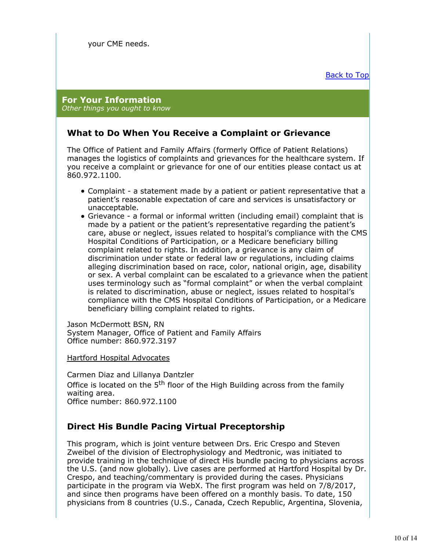#### **For Your Information** *Other things you ought to know*

# **What to Do When You Receive a Complaint or Grievance**

The Office of Patient and Family Affairs (formerly Office of Patient Relations) manages the logistics of complaints and grievances for the healthcare system. If you receive a complaint or grievance for one of our entities please contact us at 860.972.1100.

- Complaint a statement made by a patient or patient representative that a patient's reasonable expectation of care and services is unsatisfactory or unacceptable.
- Grievance a formal or informal written (including email) complaint that is made by a patient or the patient's representative regarding the patient's care, abuse or neglect, issues related to hospital's compliance with the CMS Hospital Conditions of Participation, or a Medicare beneficiary billing complaint related to rights. In addition, a grievance is any claim of discrimination under state or federal law or regulations, including claims alleging discrimination based on race, color, national origin, age, disability or sex. A verbal complaint can be escalated to a grievance when the patient uses terminology such as "formal complaint" or when the verbal complaint is related to discrimination, abuse or neglect, issues related to hospital's compliance with the CMS Hospital Conditions of Participation, or a Medicare beneficiary billing complaint related to rights.

Jason McDermott BSN, RN System Manager, Office of Patient and Family Affairs Office number: 860.972.3197

Hartford Hospital Advocates

Carmen Diaz and Lillanya Dantzler Office is located on the 5<sup>th</sup> floor of the High Building across from the family waiting area. Office number: 860.972.1100

# **Direct His Bundle Pacing Virtual Preceptorship**

This program, which is joint venture between Drs. Eric Crespo and Steven Zweibel of the division of Electrophysiology and Medtronic, was initiated to provide training in the technique of direct His bundle pacing to physicians across the U.S. (and now globally). Live cases are performed at Hartford Hospital by Dr. Crespo, and teaching/commentary is provided during the cases. Physicians participate in the program via WebX. The first program was held on 7/8/2017, and since then programs have been offered on a monthly basis. To date, 150 physicians from 8 countries (U.S., Canada, Czech Republic, Argentina, Slovenia,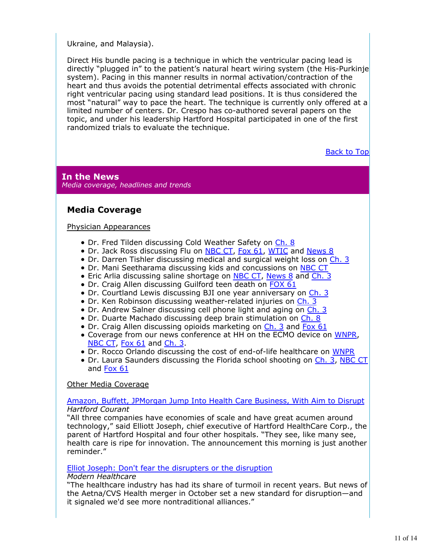Ukraine, and Malaysia).

Direct His bundle pacing is a technique in which the ventricular pacing lead is directly "plugged in" to the patient's natural heart wiring system (the His-Purkinje system). Pacing in this manner results in normal activation/contraction of the heart and thus avoids the potential detrimental effects associated with chronic right ventricular pacing using standard lead positions. It is thus considered the most "natural" way to pace the heart. The technique is currently only offered at a limited number of centers. Dr. Crespo has co-authored several papers on the topic, and under his leadership Hartford Hospital participated in one of the first randomized trials to evaluate the technique.

Back to Top

**In the News** *Media coverage, headlines and trends*

# **Media Coverage**

#### Physician Appearances

- Dr. Fred Tilden discussing Cold Weather Safety on Ch. 8
- Dr. Jack Ross discussing Flu on NBC CT, Fox 61, WTIC and News 8
- Dr. Darren Tishler discussing medical and surgical weight loss on Ch. 3
- Dr. Mani Seetharama discussing kids and concussions on NBC CT
- Eric Arlia discussing saline shortage on NBC CT, News 8 and Ch. 3
- Dr. Craig Allen discussing Guilford teen death on FOX 61
- Dr. Courtland Lewis discussing BJI one year anniversary on Ch. 3
- Dr. Ken Robinson discussing weather-related injuries on Ch. 3
- Dr. Andrew Salner discussing cell phone light and aging on Ch. 3
- Dr. Duarte Machado discussing deep brain stimulation on Ch. 8
- Dr. Craig Allen discussing opioids marketing on Ch. 3 and Fox 61
- Coverage from our news conference at HH on the ECMO device on WNPR, NBC CT, Fox 61 and Ch. 3.
- Dr. Rocco Orlando discussing the cost of end-of-life healthcare on WNPR
- Dr. Laura Saunders discussing the Florida school shooting on Ch. 3, NBC CT and Fox 61

## Other Media Coverage

#### Amazon, Buffett, JPMorgan Jump Into Health Care Business, With Aim to Disrupt *Hartford Courant*

"All three companies have economies of scale and have great acumen around technology," said Elliott Joseph, chief executive of Hartford HealthCare Corp., the parent of Hartford Hospital and four other hospitals. "They see, like many see, health care is ripe for innovation. The announcement this morning is just another reminder."

#### Elliot Joseph: Don't fear the disrupters or the disruption

#### *Modern Healthcare*

"The healthcare industry has had its share of turmoil in recent years. But news of the Aetna/CVS Health merger in October set a new standard for disruption—and it signaled we'd see more nontraditional alliances."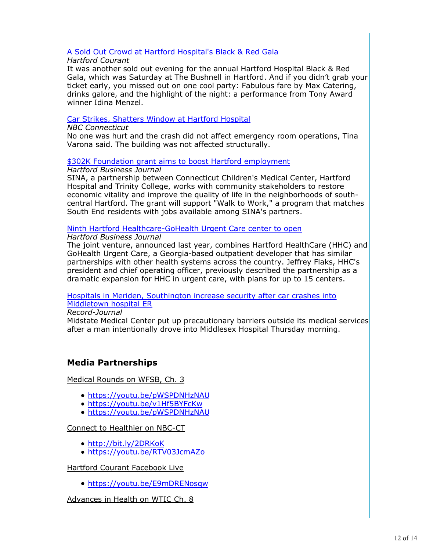## A Sold Out Crowd at Hartford Hospital's Black & Red Gala

## *Hartford Courant*

It was another sold out evening for the annual Hartford Hospital Black & Red Gala, which was Saturday at The Bushnell in Hartford. And if you didn't grab your ticket early, you missed out on one cool party: Fabulous fare by Max Catering, drinks galore, and the highlight of the night: a performance from Tony Award winner Idina Menzel.

## Car Strikes, Shatters Window at Hartford Hospital

#### *NBC Connecticut*

No one was hurt and the crash did not affect emergency room operations, Tina Varona said. The building was not affected structurally.

## \$302K Foundation grant aims to boost Hartford employment

#### *Hartford Business Journal*

SINA, a partnership between Connecticut Children's Medical Center, Hartford Hospital and Trinity College, works with community stakeholders to restore economic vitality and improve the quality of life in the neighborhoods of southcentral Hartford. The grant will support "Walk to Work," a program that matches South End residents with jobs available among SINA's partners.

## Ninth Hartford Healthcare-GoHealth Urgent Care center to open

## *Hartford Business Journal*

The joint venture, announced last year, combines Hartford HealthCare (HHC) and GoHealth Urgent Care, a Georgia-based outpatient developer that has similar partnerships with other health systems across the country. Jeffrey Flaks, HHC's president and chief operating officer, previously described the partnership as a dramatic expansion for HHC in urgent care, with plans for up to 15 centers.

Hospitals in Meriden, Southington increase security after car crashes into Middletown hospital ER

#### *Record-Journal*

Midstate Medical Center put up precautionary barriers outside its medical services after a man intentionally drove into Middlesex Hospital Thursday morning.

# **Media Partnerships**

Medical Rounds on WFSB, Ch. 3

- https://youtu.be/pWSPDNHzNAU
- https://youtu.be/v1Hf5BYFcKw
- https://youtu.be/pWSPDNHzNAU

## Connect to Healthier on NBC-CT

- http://bit.ly/2DRKoK
- https://youtu.be/RTV03JcmAZo

## Hartford Courant Facebook Live

https://youtu.be/E9mDRENosqw

Advances in Health on WTIC Ch. 8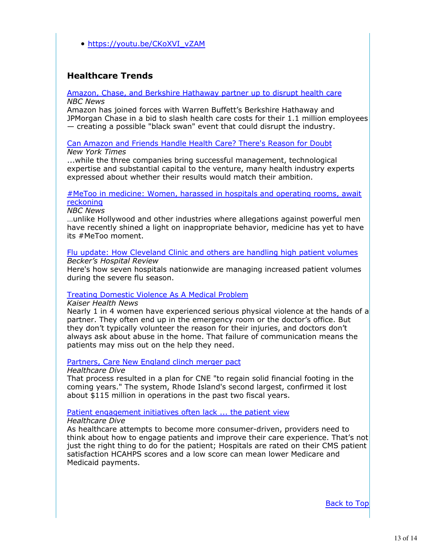https://youtu.be/CKoXVI\_vZAM

# **Healthcare Trends**

#### Amazon, Chase, and Berkshire Hathaway partner up to disrupt health care *NBC News*

Amazon has joined forces with Warren Buffett's Berkshire Hathaway and JPMorgan Chase in a bid to slash health care costs for their 1.1 million employees — creating a possible "black swan" event that could disrupt the industry.

#### Can Amazon and Friends Handle Health Care? There's Reason for Doubt *New York Times*

...while the three companies bring successful management, technological expertise and substantial capital to the venture, many health industry experts expressed about whether their results would match their ambition.

### #MeToo in medicine: Women, harassed in hospitals and operating rooms, await reckoning

*NBC News*

…unlike Hollywood and other industries where allegations against powerful men have recently shined a light on inappropriate behavior, medicine has yet to have its #MeToo moment.

Flu update: How Cleveland Clinic and others are handling high patient volumes *Becker's Hospital Review*

Here's how seven hospitals nationwide are managing increased patient volumes during the severe flu season.

## Treating Domestic Violence As A Medical Problem

*Kaiser Health News*

Nearly 1 in 4 women have experienced serious physical violence at the hands of a partner. They often end up in the emergency room or the doctor's office. But they don't typically volunteer the reason for their injuries, and doctors don't always ask about abuse in the home. That failure of communication means the patients may miss out on the help they need.

#### Partners, Care New England clinch merger pact

#### *Healthcare Dive*

That process resulted in a plan for CNE "to regain solid financial footing in the coming years." The system, Rhode Island's second largest, confirmed it lost about \$115 million in operations in the past two fiscal years.

#### Patient engagement initiatives often lack ... the patient view

#### *Healthcare Dive*

As healthcare attempts to become more consumer-driven, providers need to think about how to engage patients and improve their care experience. That's not just the right thing to do for the patient; Hospitals are rated on their CMS patient satisfaction HCAHPS scores and a low score can mean lower Medicare and Medicaid payments.

Back to Top